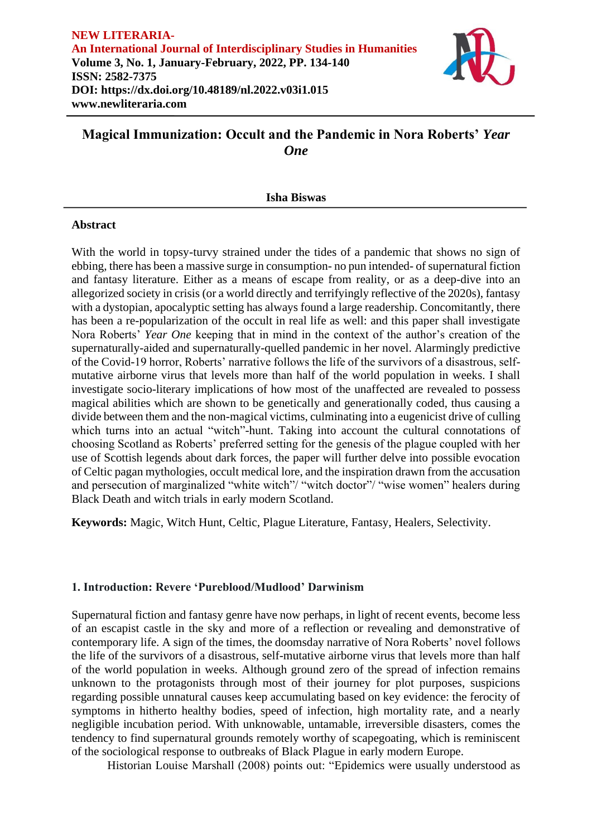

# **Magical Immunization: Occult and the Pandemic in Nora Roberts'** *Year One*

## **Isha Biswas**

## **Abstract**

With the world in topsy-turvy strained under the tides of a pandemic that shows no sign of ebbing, there has been a massive surge in consumption- no pun intended- of supernatural fiction and fantasy literature. Either as a means of escape from reality, or as a deep-dive into an allegorized society in crisis (or a world directly and terrifyingly reflective of the 2020s), fantasy with a dystopian, apocalyptic setting has always found a large readership. Concomitantly, there has been a re-popularization of the occult in real life as well: and this paper shall investigate Nora Roberts' *Year One* keeping that in mind in the context of the author's creation of the supernaturally-aided and supernaturally-quelled pandemic in her novel. Alarmingly predictive of the Covid-19 horror, Roberts' narrative follows the life of the survivors of a disastrous, selfmutative airborne virus that levels more than half of the world population in weeks. I shall investigate socio-literary implications of how most of the unaffected are revealed to possess magical abilities which are shown to be genetically and generationally coded, thus causing a divide between them and the non-magical victims, culminating into a eugenicist drive of culling which turns into an actual "witch"-hunt. Taking into account the cultural connotations of choosing Scotland as Roberts' preferred setting for the genesis of the plague coupled with her use of Scottish legends about dark forces, the paper will further delve into possible evocation of Celtic pagan mythologies, occult medical lore, and the inspiration drawn from the accusation and persecution of marginalized "white witch"/ "witch doctor"/ "wise women" healers during Black Death and witch trials in early modern Scotland.

**Keywords:** Magic, Witch Hunt, Celtic, Plague Literature, Fantasy, Healers, Selectivity.

## **1. Introduction: Revere 'Pureblood/Mudlood' Darwinism**

Supernatural fiction and fantasy genre have now perhaps, in light of recent events, become less of an escapist castle in the sky and more of a reflection or revealing and demonstrative of contemporary life. A sign of the times, the doomsday narrative of Nora Roberts' novel follows the life of the survivors of a disastrous, self-mutative airborne virus that levels more than half of the world population in weeks. Although ground zero of the spread of infection remains unknown to the protagonists through most of their journey for plot purposes, suspicions regarding possible unnatural causes keep accumulating based on key evidence: the ferocity of symptoms in hitherto healthy bodies, speed of infection, high mortality rate, and a nearly negligible incubation period. With unknowable, untamable, irreversible disasters, comes the tendency to find supernatural grounds remotely worthy of scapegoating, which is reminiscent of the sociological response to outbreaks of Black Plague in early modern Europe.

Historian Louise Marshall (2008) points out: "Epidemics were usually understood as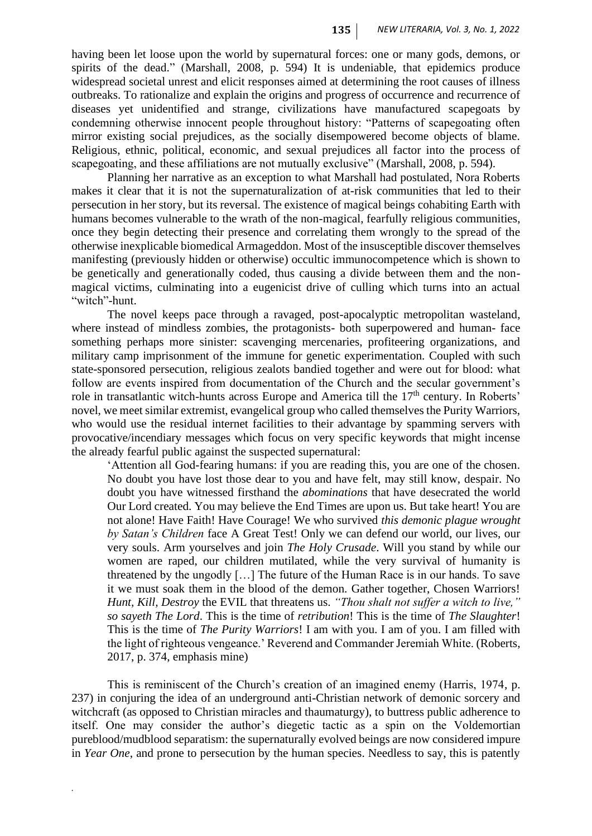having been let loose upon the world by supernatural forces: one or many gods, demons, or spirits of the dead." (Marshall, 2008, p. 594) It is undeniable, that epidemics produce widespread societal unrest and elicit responses aimed at determining the root causes of illness outbreaks. To rationalize and explain the origins and progress of occurrence and recurrence of diseases yet unidentified and strange, civilizations have manufactured scapegoats by condemning otherwise innocent people throughout history: "Patterns of scapegoating often mirror existing social prejudices, as the socially disempowered become objects of blame. Religious, ethnic, political, economic, and sexual prejudices all factor into the process of scapegoating, and these affiliations are not mutually exclusive" (Marshall, 2008, p. 594).

Planning her narrative as an exception to what Marshall had postulated, Nora Roberts makes it clear that it is not the supernaturalization of at-risk communities that led to their persecution in her story, but its reversal. The existence of magical beings cohabiting Earth with humans becomes vulnerable to the wrath of the non-magical, fearfully religious communities, once they begin detecting their presence and correlating them wrongly to the spread of the otherwise inexplicable biomedical Armageddon. Most of the insusceptible discover themselves manifesting (previously hidden or otherwise) occultic immunocompetence which is shown to be genetically and generationally coded, thus causing a divide between them and the nonmagical victims, culminating into a eugenicist drive of culling which turns into an actual "witch"-hunt.

The novel keeps pace through a ravaged, post-apocalyptic metropolitan wasteland, where instead of mindless zombies, the protagonists- both superpowered and human- face something perhaps more sinister: scavenging mercenaries, profiteering organizations, and military camp imprisonment of the immune for genetic experimentation. Coupled with such state-sponsored persecution, religious zealots bandied together and were out for blood: what follow are events inspired from documentation of the Church and the secular government's role in transatlantic witch-hunts across Europe and America till the 17<sup>th</sup> century. In Roberts' novel, we meet similar extremist, evangelical group who called themselves the Purity Warriors, who would use the residual internet facilities to their advantage by spamming servers with provocative/incendiary messages which focus on very specific keywords that might incense the already fearful public against the suspected supernatural:

'Attention all God-fearing humans: if you are reading this, you are one of the chosen. No doubt you have lost those dear to you and have felt, may still know, despair. No doubt you have witnessed firsthand the *abominations* that have desecrated the world Our Lord created. You may believe the End Times are upon us. But take heart! You are not alone! Have Faith! Have Courage! We who survived *this demonic plague wrought by Satan's Children* face A Great Test! Only we can defend our world, our lives, our very souls. Arm yourselves and join *The Holy Crusade*. Will you stand by while our women are raped, our children mutilated, while the very survival of humanity is threatened by the ungodly […] The future of the Human Race is in our hands. To save it we must soak them in the blood of the demon. Gather together, Chosen Warriors! *Hunt, Kill, Destroy* the EVIL that threatens us. *"Thou shalt not suffer a witch to live," so sayeth The Lord*. This is the time of *retribution*! This is the time of *The Slaughter*! This is the time of *The Purity Warriors*! I am with you. I am of you. I am filled with the light of righteous vengeance.' Reverend and Commander Jeremiah White. (Roberts, 2017, p. 374, emphasis mine)

This is reminiscent of the Church's creation of an imagined enemy (Harris, 1974, p. 237) in conjuring the idea of an underground anti-Christian network of demonic sorcery and witchcraft (as opposed to Christian miracles and thaumaturgy), to buttress public adherence to itself. One may consider the author's diegetic tactic as a spin on the Voldemortian pureblood/mudblood separatism: the supernaturally evolved beings are now considered impure in *Year One*, and prone to persecution by the human species. Needless to say, this is patently

*.*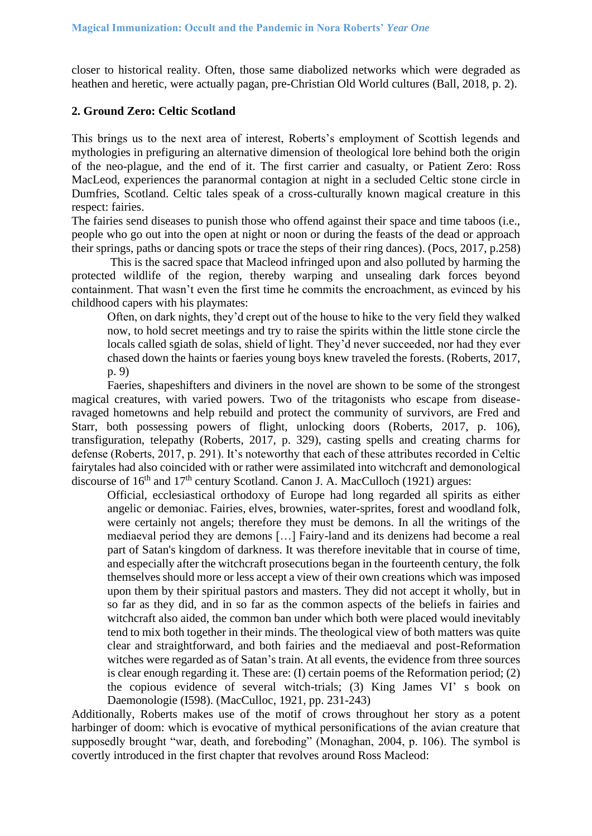closer to historical reality. Often, those same diabolized networks which were degraded as heathen and heretic, were actually pagan, pre-Christian Old World cultures (Ball, 2018, p. 2).

#### **2. Ground Zero: Celtic Scotland**

This brings us to the next area of interest, Roberts's employment of Scottish legends and mythologies in prefiguring an alternative dimension of theological lore behind both the origin of the neo-plague, and the end of it. The first carrier and casualty, or Patient Zero: Ross MacLeod, experiences the paranormal contagion at night in a secluded Celtic stone circle in Dumfries, Scotland. Celtic tales speak of a cross-culturally known magical creature in this respect: fairies.

The fairies send diseases to punish those who offend against their space and time taboos (i.e., people who go out into the open at night or noon or during the feasts of the dead or approach their springs, paths or dancing spots or trace the steps of their ring dances). (Pocs, 2017, p.258)

This is the sacred space that Macleod infringed upon and also polluted by harming the protected wildlife of the region, thereby warping and unsealing dark forces beyond containment. That wasn't even the first time he commits the encroachment, as evinced by his childhood capers with his playmates:

Often, on dark nights, they'd crept out of the house to hike to the very field they walked now, to hold secret meetings and try to raise the spirits within the little stone circle the locals called sgiath de solas, shield of light. They'd never succeeded, nor had they ever chased down the haints or faeries young boys knew traveled the forests. (Roberts, 2017, p. 9)

Faeries, shapeshifters and diviners in the novel are shown to be some of the strongest magical creatures, with varied powers. Two of the tritagonists who escape from diseaseravaged hometowns and help rebuild and protect the community of survivors, are Fred and Starr, both possessing powers of flight, unlocking doors (Roberts, 2017, p. 106), transfiguration, telepathy (Roberts, 2017, p. 329), casting spells and creating charms for defense (Roberts, 2017, p. 291). It's noteworthy that each of these attributes recorded in Celtic fairytales had also coincided with or rather were assimilated into witchcraft and demonological discourse of  $16<sup>th</sup>$  and  $17<sup>th</sup>$  century Scotland. Canon J. A. MacCulloch (1921) argues:

Official, ecclesiastical orthodoxy of Europe had long regarded all spirits as either angelic or demoniac. Fairies, elves, brownies, water-sprites, forest and woodland folk, were certainly not angels; therefore they must be demons. In all the writings of the mediaeval period they are demons […] Fairy-land and its denizens had become a real part of Satan's kingdom of darkness. It was therefore inevitable that in course of time, and especially after the witchcraft prosecutions began in the fourteenth century, the folk themselves should more or less accept a view of their own creations which was imposed upon them by their spiritual pastors and masters. They did not accept it wholly, but in so far as they did, and in so far as the common aspects of the beliefs in fairies and witchcraft also aided, the common ban under which both were placed would inevitably tend to mix both together in their minds. The theological view of both matters was quite clear and straightforward, and both fairies and the mediaeval and post-Reformation witches were regarded as of Satan's train. At all events, the evidence from three sources is clear enough regarding it. These are: (I) certain poems of the Reformation period; (2) the copious evidence of several witch-trials; (3) King James VI' s book on Daemonologie (I598). (MacCulloc, 1921, pp. 231-243)

Additionally, Roberts makes use of the motif of crows throughout her story as a potent harbinger of doom: which is evocative of mythical personifications of the avian creature that supposedly brought "war, death, and foreboding" (Monaghan, 2004, p. 106). The symbol is covertly introduced in the first chapter that revolves around Ross Macleod: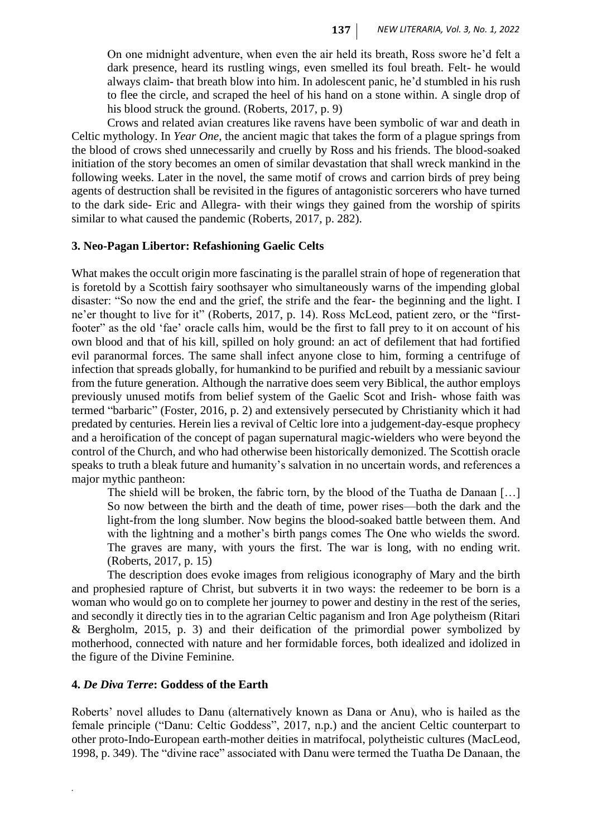On one midnight adventure, when even the air held its breath, Ross swore he'd felt a dark presence, heard its rustling wings, even smelled its foul breath. Felt- he would always claim- that breath blow into him. In adolescent panic, he'd stumbled in his rush to flee the circle, and scraped the heel of his hand on a stone within. A single drop of his blood struck the ground. (Roberts, 2017, p. 9)

Crows and related avian creatures like ravens have been symbolic of war and death in Celtic mythology. In *Year One*, the ancient magic that takes the form of a plague springs from the blood of crows shed unnecessarily and cruelly by Ross and his friends. The blood-soaked initiation of the story becomes an omen of similar devastation that shall wreck mankind in the following weeks. Later in the novel, the same motif of crows and carrion birds of prey being agents of destruction shall be revisited in the figures of antagonistic sorcerers who have turned to the dark side- Eric and Allegra- with their wings they gained from the worship of spirits similar to what caused the pandemic (Roberts, 2017, p. 282).

## **3. Neo-Pagan Libertor: Refashioning Gaelic Celts**

What makes the occult origin more fascinating is the parallel strain of hope of regeneration that is foretold by a Scottish fairy soothsayer who simultaneously warns of the impending global disaster: "So now the end and the grief, the strife and the fear- the beginning and the light. I ne'er thought to live for it" (Roberts, 2017, p. 14). Ross McLeod, patient zero, or the "firstfooter" as the old 'fae' oracle calls him, would be the first to fall prey to it on account of his own blood and that of his kill, spilled on holy ground: an act of defilement that had fortified evil paranormal forces. The same shall infect anyone close to him, forming a centrifuge of infection that spreads globally, for humankind to be purified and rebuilt by a messianic saviour from the future generation. Although the narrative does seem very Biblical, the author employs previously unused motifs from belief system of the Gaelic Scot and Irish- whose faith was termed "barbaric" (Foster, 2016, p. 2) and extensively persecuted by Christianity which it had predated by centuries. Herein lies a revival of Celtic lore into a judgement-day-esque prophecy and a heroification of the concept of pagan supernatural magic-wielders who were beyond the control of the Church, and who had otherwise been historically demonized. The Scottish oracle speaks to truth a bleak future and humanity's salvation in no uncertain words, and references a major mythic pantheon:

The shield will be broken, the fabric torn, by the blood of the Tuatha de Danaan […] So now between the birth and the death of time, power rises—both the dark and the light-from the long slumber. Now begins the blood-soaked battle between them. And with the lightning and a mother's birth pangs comes The One who wields the sword. The graves are many, with yours the first. The war is long, with no ending writ. (Roberts, 2017, p. 15)

The description does evoke images from religious iconography of Mary and the birth and prophesied rapture of Christ, but subverts it in two ways: the redeemer to be born is a woman who would go on to complete her journey to power and destiny in the rest of the series, and secondly it directly ties in to the agrarian Celtic paganism and Iron Age polytheism (Ritari & Bergholm, 2015, p. 3) and their deification of the primordial power symbolized by motherhood, connected with nature and her formidable forces, both idealized and idolized in the figure of the Divine Feminine.

## **4.** *De Diva Terre***: Goddess of the Earth**

*.*

Roberts' novel alludes to Danu (alternatively known as Dana or Anu), who is hailed as the female principle ("Danu: Celtic Goddess", 2017, n.p.) and the ancient Celtic counterpart to other proto-Indo-European earth-mother deities in matrifocal, polytheistic cultures (MacLeod, 1998, p. 349). The "divine race" associated with Danu were termed the Tuatha De Danaan, the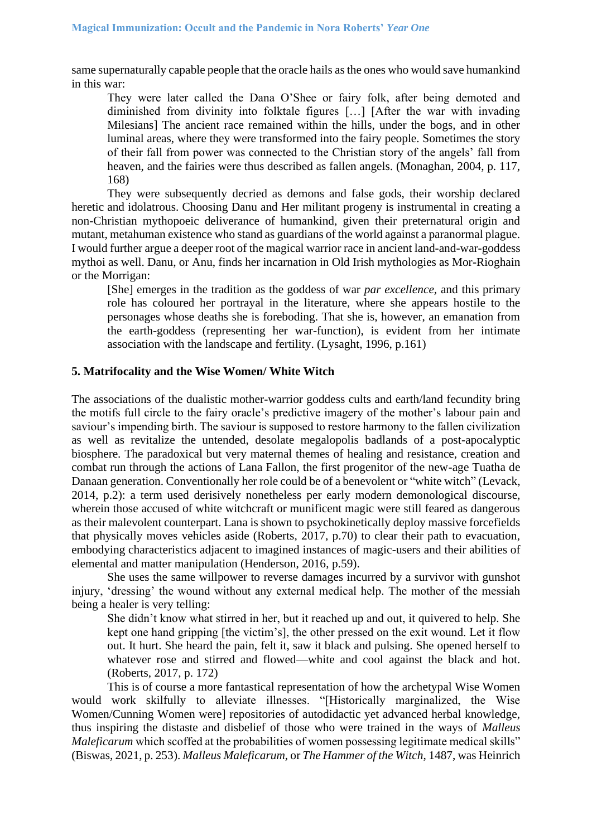same supernaturally capable people that the oracle hails as the ones who would save humankind in this war:

They were later called the Dana O'Shee or fairy folk, after being demoted and diminished from divinity into folktale figures […] [After the war with invading Milesians] The ancient race remained within the hills, under the bogs, and in other luminal areas, where they were transformed into the fairy people. Sometimes the story of their fall from power was connected to the Christian story of the angels' fall from heaven, and the fairies were thus described as fallen angels. (Monaghan, 2004, p. 117, 168)

They were subsequently decried as demons and false gods, their worship declared heretic and idolatrous. Choosing Danu and Her militant progeny is instrumental in creating a non-Christian mythopoeic deliverance of humankind, given their preternatural origin and mutant, metahuman existence who stand as guardians of the world against a paranormal plague. I would further argue a deeper root of the magical warrior race in ancient land-and-war-goddess mythoi as well. Danu, or Anu, finds her incarnation in Old Irish mythologies as Mor-Rioghain or the Morrigan:

[She] emerges in the tradition as the goddess of war *par excellence,* and this primary role has coloured her portrayal in the literature, where she appears hostile to the personages whose deaths she is foreboding. That she is, however, an emanation from the earth-goddess (representing her war-function), is evident from her intimate association with the landscape and fertility. (Lysaght, 1996, p.161)

## **5. Matrifocality and the Wise Women/ White Witch**

The associations of the dualistic mother-warrior goddess cults and earth/land fecundity bring the motifs full circle to the fairy oracle's predictive imagery of the mother's labour pain and saviour's impending birth. The saviour is supposed to restore harmony to the fallen civilization as well as revitalize the untended, desolate megalopolis badlands of a post-apocalyptic biosphere. The paradoxical but very maternal themes of healing and resistance, creation and combat run through the actions of Lana Fallon, the first progenitor of the new-age Tuatha de Danaan generation. Conventionally her role could be of a benevolent or "white witch" (Levack, 2014, p.2): a term used derisively nonetheless per early modern demonological discourse, wherein those accused of white witchcraft or munificent magic were still feared as dangerous as their malevolent counterpart. Lana is shown to psychokinetically deploy massive forcefields that physically moves vehicles aside (Roberts, 2017, p.70) to clear their path to evacuation, embodying characteristics adjacent to imagined instances of magic-users and their abilities of elemental and matter manipulation (Henderson, 2016, p.59).

She uses the same willpower to reverse damages incurred by a survivor with gunshot injury, 'dressing' the wound without any external medical help. The mother of the messiah being a healer is very telling:

She didn't know what stirred in her, but it reached up and out, it quivered to help. She kept one hand gripping [the victim's], the other pressed on the exit wound. Let it flow out. It hurt. She heard the pain, felt it, saw it black and pulsing. She opened herself to whatever rose and stirred and flowed—white and cool against the black and hot. (Roberts, 2017, p. 172)

This is of course a more fantastical representation of how the archetypal Wise Women would work skilfully to alleviate illnesses. "[Historically marginalized, the Wise Women/Cunning Women were] repositories of autodidactic yet advanced herbal knowledge, thus inspiring the distaste and disbelief of those who were trained in the ways of *Malleus Maleficarum* which scoffed at the probabilities of women possessing legitimate medical skills" (Biswas, 2021, p. 253). *Malleus Maleficarum*, or *The Hammer of the Witch*, 1487, was Heinrich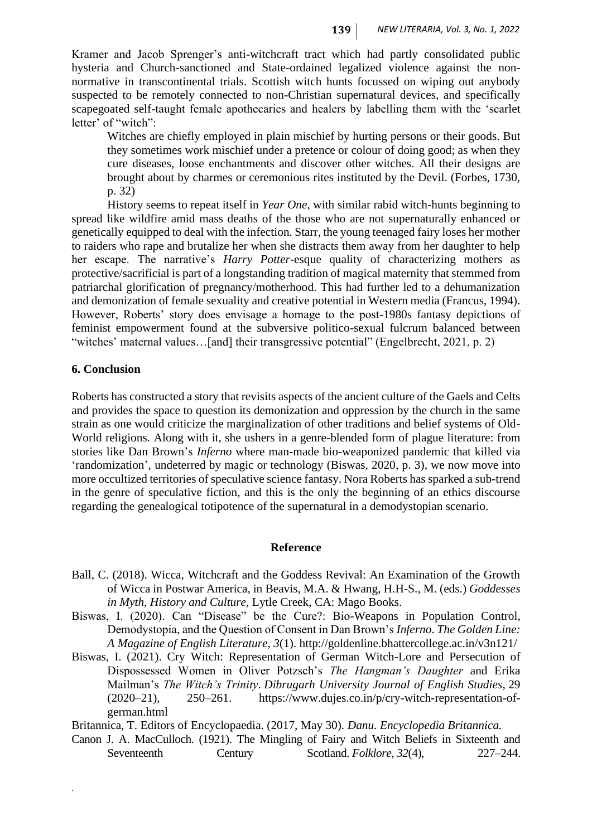Kramer and Jacob Sprenger's anti-witchcraft tract which had partly consolidated public hysteria and Church-sanctioned and State-ordained legalized violence against the nonnormative in transcontinental trials. Scottish witch hunts focussed on wiping out anybody suspected to be remotely connected to non-Christian supernatural devices, and specifically scapegoated self-taught female apothecaries and healers by labelling them with the 'scarlet letter' of "witch":

Witches are chiefly employed in plain mischief by hurting persons or their goods. But they sometimes work mischief under a pretence or colour of doing good; as when they cure diseases, loose enchantments and discover other witches. All their designs are brought about by charmes or ceremonious rites instituted by the Devil. (Forbes, 1730, p. 32)

History seems to repeat itself in *Year One*, with similar rabid witch-hunts beginning to spread like wildfire amid mass deaths of the those who are not supernaturally enhanced or genetically equipped to deal with the infection. Starr, the young teenaged fairy loses her mother to raiders who rape and brutalize her when she distracts them away from her daughter to help her escape. The narrative's *Harry Potter*-esque quality of characterizing mothers as protective/sacrificial is part of a longstanding tradition of magical maternity that stemmed from patriarchal glorification of pregnancy/motherhood. This had further led to a dehumanization and demonization of female sexuality and creative potential in Western media (Francus, 1994). However, Roberts' story does envisage a homage to the post-1980s fantasy depictions of feminist empowerment found at the subversive politico-sexual fulcrum balanced between "witches' maternal values...[and] their transgressive potential" (Engelbrecht, 2021, p. 2)

## **6. Conclusion**

*.*

Roberts has constructed a story that revisits aspects of the ancient culture of the Gaels and Celts and provides the space to question its demonization and oppression by the church in the same strain as one would criticize the marginalization of other traditions and belief systems of Old-World religions. Along with it, she ushers in a genre-blended form of plague literature: from stories like Dan Brown's *Inferno* where man-made bio-weaponized pandemic that killed via 'randomization', undeterred by magic or technology (Biswas, 2020, p. 3), we now move into more occultized territories of speculative science fantasy. Nora Roberts has sparked a sub-trend in the genre of speculative fiction, and this is the only the beginning of an ethics discourse regarding the genealogical totipotence of the supernatural in a demodystopian scenario.

#### **Reference**

- Ball, C. (2018). Wicca, Witchcraft and the Goddess Revival: An Examination of the Growth of Wicca in Postwar America, in Beavis, M.A. & Hwang, H.H-S., M. (eds.) *Goddesses in Myth, History and Culture,* Lytle Creek, CA: Mago Books.
- Biswas, I. (2020). Can "Disease" be the Cure?: Bio-Weapons in Population Control, Demodystopia, and the Question of Consent in Dan Brown's *Inferno*. *The Golden Line: A Magazine of English Literature, 3*(1). http://goldenline.bhattercollege.ac.in/v3n121/
- Biswas, I. (2021). Cry Witch: Representation of German Witch-Lore and Persecution of Dispossessed Women in Oliver Potzsch's *The Hangman's Daughter* and Erika Mailman's *The Witch's Trinity*. *Dibrugarh University Journal of English Studies*, 29 (2020–21), 250–261. [https://www.dujes.co.in/p/cry-witch-representation-of](https://www.dujes.co.in/p/cry-witch-representation-of-german.html)[german.html](https://www.dujes.co.in/p/cry-witch-representation-of-german.html)

Britannica, T. Editors of Encyclopaedia. (2017, May 30). *Danu. Encyclopedia Britannica.*

Canon J. A. MacCulloch. (1921). The Mingling of Fairy and Witch Beliefs in Sixteenth and Seventeenth Century Scotland. *Folklore*, 32(4), 227–244.